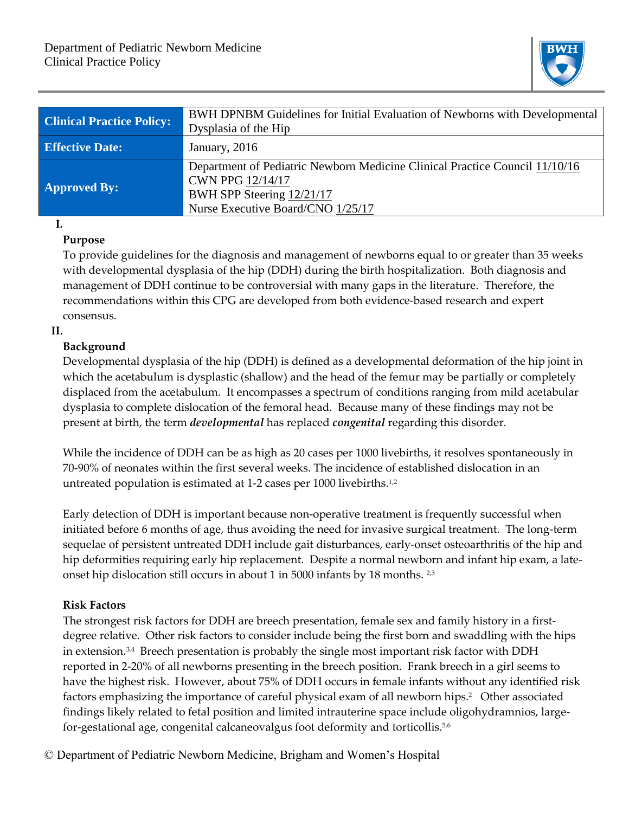

| <b>Clinical Practice Policy:</b> | BWH DPNBM Guidelines for Initial Evaluation of Newborns with Developmental<br>Dysplasia of the Hip                                                                |
|----------------------------------|-------------------------------------------------------------------------------------------------------------------------------------------------------------------|
| <b>Effective Date:</b>           | January, 2016                                                                                                                                                     |
| <b>Approved By:</b>              | Department of Pediatric Newborn Medicine Clinical Practice Council 11/10/16<br>CWN PPG 12/14/17<br>BWH SPP Steering 12/21/17<br>Nurse Executive Board/CNO 1/25/17 |

#### **I.**

#### **Purpose**

To provide guidelines for the diagnosis and management of newborns equal to or greater than 35 weeks with developmental dysplasia of the hip (DDH) during the birth hospitalization. Both diagnosis and management of DDH continue to be controversial with many gaps in the literature. Therefore, the recommendations within this CPG are developed from both evidence-based research and expert consensus.

#### **II.**

#### **Background**

Developmental dysplasia of the hip (DDH) is defined as a developmental deformation of the hip joint in which the acetabulum is dysplastic (shallow) and the head of the femur may be partially or completely displaced from the acetabulum. It encompasses a spectrum of conditions ranging from mild acetabular dysplasia to complete dislocation of the femoral head. Because many of these findings may not be present at birth, the term *developmental* has replaced *congenital* regarding this disorder.

While the incidence of DDH can be as high as 20 cases per 1000 livebirths, it resolves spontaneously in 70-90% of neonates within the first several weeks. The incidence of established dislocation in an untreated population is estimated at 1-2 cases per 1000 livebirths.1,2

Early detection of DDH is important because non-operative treatment is frequently successful when initiated before 6 months of age, thus avoiding the need for invasive surgical treatment. The long-term sequelae of persistent untreated DDH include gait disturbances, early-onset osteoarthritis of the hip and hip deformities requiring early hip replacement. Despite a normal newborn and infant hip exam, a lateonset hip dislocation still occurs in about 1 in 5000 infants by 18 months. 2,3

#### **Risk Factors**

The strongest risk factors for DDH are breech presentation, female sex and family history in a firstdegree relative. Other risk factors to consider include being the first born and swaddling with the hips in extension.3,4 Breech presentation is probably the single most important risk factor with DDH reported in 2-20% of all newborns presenting in the breech position. Frank breech in a girl seems to have the highest risk. However, about 75% of DDH occurs in female infants without any identified risk factors emphasizing the importance of careful physical exam of all newborn hips.<sup>2</sup> Other associated findings likely related to fetal position and limited intrauterine space include oligohydramnios, largefor-gestational age, congenital calcaneovalgus foot deformity and torticollis.<sup>5,6</sup>

© Department of Pediatric Newborn Medicine, Brigham and Women's Hospital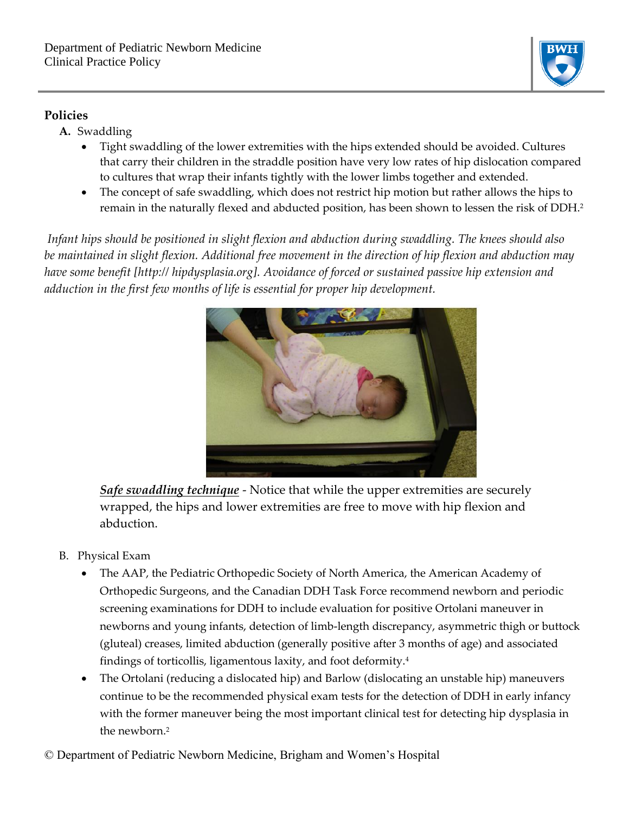

### **Policies**

- **A.** Swaddling
	- Tight swaddling of the lower extremities with the hips extended should be avoided. Cultures that carry their children in the straddle position have very low rates of hip dislocation compared to cultures that wrap their infants tightly with the lower limbs together and extended.
	- The concept of safe swaddling, which does not restrict hip motion but rather allows the hips to remain in the naturally flexed and abducted position, has been shown to lessen the risk of DDH.<sup>2</sup>

*Infant hips should be positioned in slight flexion and abduction during swaddling. The knees should also*  be maintained in slight flexion. Additional free movement in the direction of hip flexion and abduction may *have some benefit [http:// hipdysplasia.org]. Avoidance of forced or sustained passive hip extension and adduction in the first few months of life is essential for proper hip development.*



*Safe swaddling technique* - Notice that while the upper extremities are securely wrapped, the hips and lower extremities are free to move with hip flexion and abduction.

- B. Physical Exam
	- The AAP, the Pediatric Orthopedic Society of North America, the American Academy of Orthopedic Surgeons, and the Canadian DDH Task Force recommend newborn and periodic screening examinations for DDH to include evaluation for positive Ortolani maneuver in newborns and young infants, detection of limb-length discrepancy, asymmetric thigh or buttock (gluteal) creases, limited abduction (generally positive after 3 months of age) and associated findings of torticollis, ligamentous laxity, and foot deformity.<sup>4</sup>
	- The Ortolani (reducing a dislocated hip) and Barlow (dislocating an unstable hip) maneuvers continue to be the recommended physical exam tests for the detection of DDH in early infancy with the former maneuver being the most important clinical test for detecting hip dysplasia in the newborn.2

© Department of Pediatric Newborn Medicine, Brigham and Women's Hospital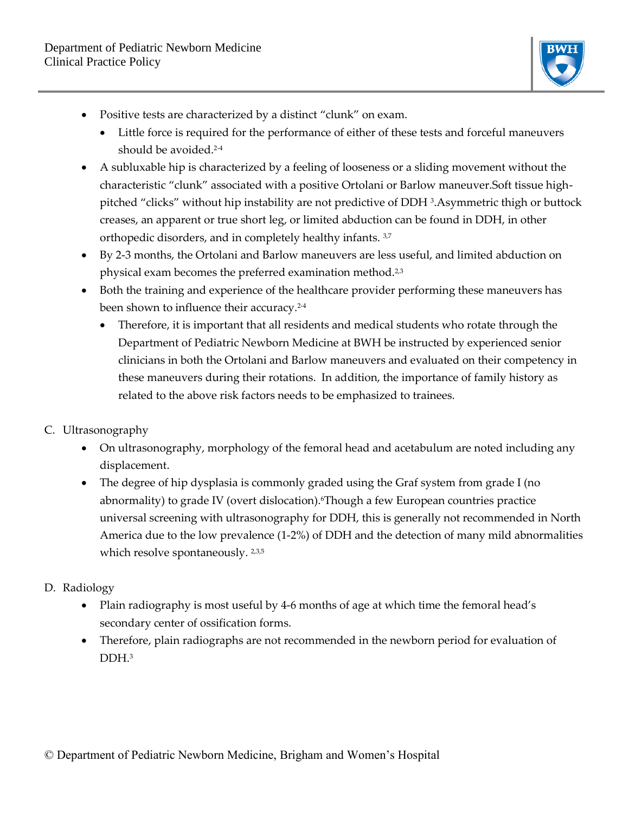

- Positive tests are characterized by a distinct "clunk" on exam.
	- Little force is required for the performance of either of these tests and forceful maneuvers should be avoided.<sup>2-4</sup>
- A subluxable hip is characterized by a feeling of looseness or a sliding movement without the characteristic "clunk" associated with a positive Ortolani or Barlow maneuver.Soft tissue highpitched "clicks" without hip instability are not predictive of DDH <sup>3</sup> .Asymmetric thigh or buttock creases, an apparent or true short leg, or limited abduction can be found in DDH, in other orthopedic disorders, and in completely healthy infants. 3,7
- By 2-3 months, the Ortolani and Barlow maneuvers are less useful, and limited abduction on physical exam becomes the preferred examination method.2,3
- Both the training and experience of the healthcare provider performing these maneuvers has been shown to influence their accuracy.<sup>2-4</sup>
	- Therefore, it is important that all residents and medical students who rotate through the Department of Pediatric Newborn Medicine at BWH be instructed by experienced senior clinicians in both the Ortolani and Barlow maneuvers and evaluated on their competency in these maneuvers during their rotations. In addition, the importance of family history as related to the above risk factors needs to be emphasized to trainees.
- C. Ultrasonography
	- On ultrasonography, morphology of the femoral head and acetabulum are noted including any displacement.
	- The degree of hip dysplasia is commonly graded using the Graf system from grade I (no abnormality) to grade IV (overt dislocation).6Though a few European countries practice universal screening with ultrasonography for DDH, this is generally not recommended in North America due to the low prevalence (1-2%) of DDH and the detection of many mild abnormalities which resolve spontaneously. <sup>2,3,5</sup>
- D. Radiology
	- Plain radiography is most useful by 4-6 months of age at which time the femoral head's secondary center of ossification forms.
	- Therefore, plain radiographs are not recommended in the newborn period for evaluation of DDH.<sup>3</sup>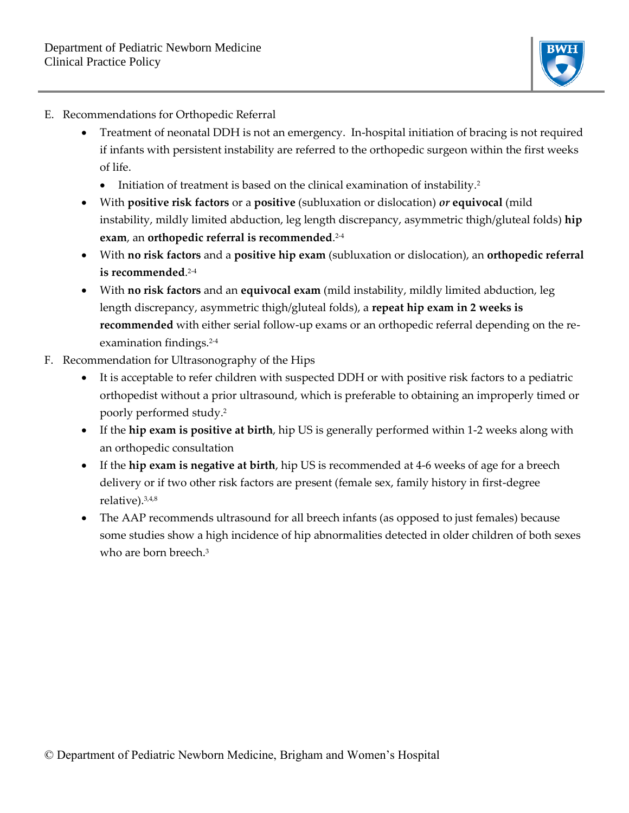

- E. Recommendations for Orthopedic Referral
	- Treatment of neonatal DDH is not an emergency. In-hospital initiation of bracing is not required if infants with persistent instability are referred to the orthopedic surgeon within the first weeks of life.
		- Initiation of treatment is based on the clinical examination of instability.<sup>2</sup>
	- With **positive risk factors** or a **positive** (subluxation or dislocation) *or* **equivocal** (mild instability, mildly limited abduction, leg length discrepancy, asymmetric thigh/gluteal folds) **hip exam**, an **orthopedic referral is recommended**. 2-4
	- With **no risk factors** and a **positive hip exam** (subluxation or dislocation), an **orthopedic referral is recommended**. 2-4
	- With **no risk factors** and an **equivocal exam** (mild instability, mildly limited abduction, leg length discrepancy, asymmetric thigh/gluteal folds), a **repeat hip exam in 2 weeks is recommended** with either serial follow-up exams or an orthopedic referral depending on the reexamination findings.2-4
- F. Recommendation for Ultrasonography of the Hips
	- It is acceptable to refer children with suspected DDH or with positive risk factors to a pediatric orthopedist without a prior ultrasound, which is preferable to obtaining an improperly timed or poorly performed study.<sup>2</sup>
	- If the **hip exam is positive at birth**, hip US is generally performed within 1-2 weeks along with an orthopedic consultation
	- If the **hip exam is negative at birth**, hip US is recommended at 4-6 weeks of age for a breech delivery or if two other risk factors are present (female sex, family history in first-degree relative).3,4,8
	- The AAP recommends ultrasound for all breech infants (as opposed to just females) because some studies show a high incidence of hip abnormalities detected in older children of both sexes who are born breech.<sup>3</sup>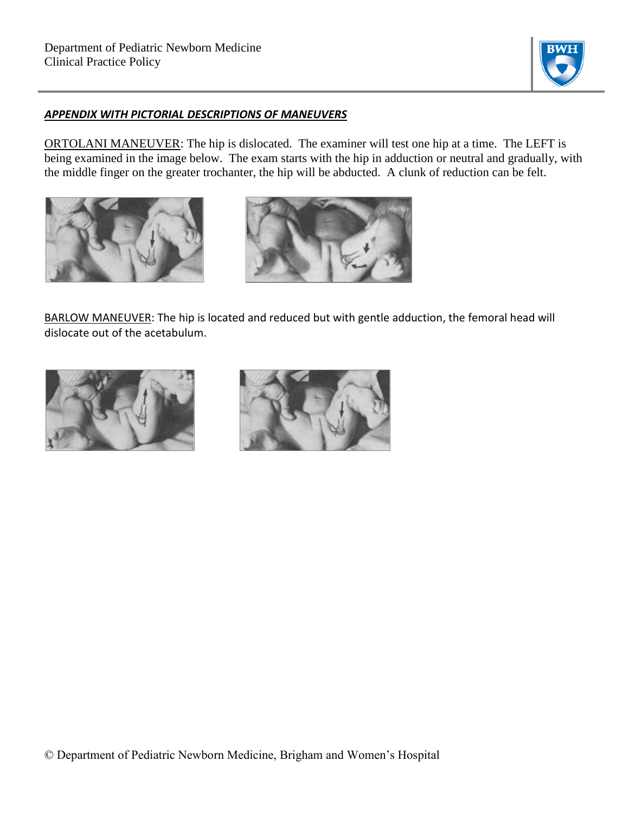

#### *APPENDIX WITH PICTORIAL DESCRIPTIONS OF MANEUVERS*

ORTOLANI MANEUVER: The hip is dislocated. The examiner will test one hip at a time. The LEFT is being examined in the image below. The exam starts with the hip in adduction or neutral and gradually, with the middle finger on the greater trochanter, the hip will be abducted. A clunk of reduction can be felt.





BARLOW MANEUVER: The hip is located and reduced but with gentle adduction, the femoral head will dislocate out of the acetabulum.



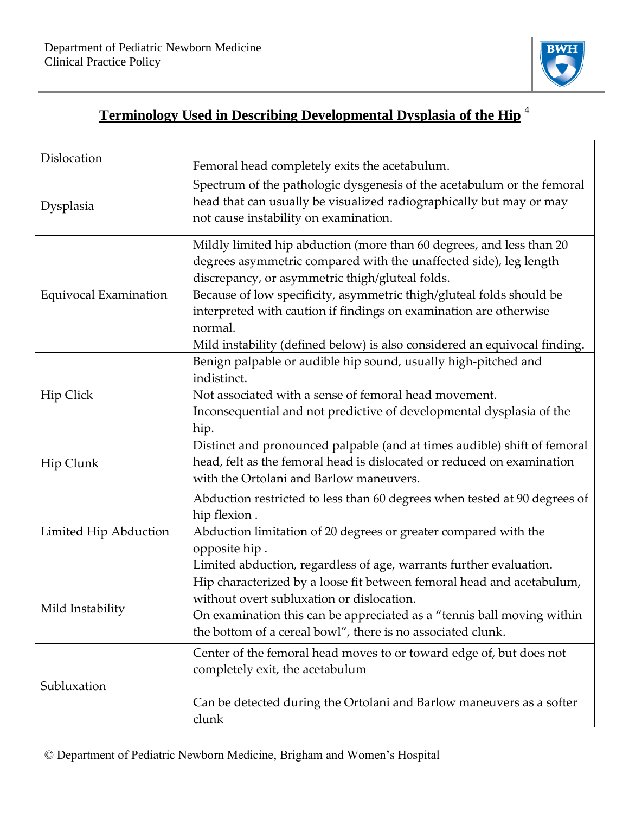Г



# **Terminology Used in Describing Developmental Dysplasia of the Hip** <sup>4</sup>

| Dislocation                  | Femoral head completely exits the acetabulum.                                                                                                                                                                                                                                                                                                                                                                                     |
|------------------------------|-----------------------------------------------------------------------------------------------------------------------------------------------------------------------------------------------------------------------------------------------------------------------------------------------------------------------------------------------------------------------------------------------------------------------------------|
| Dysplasia                    | Spectrum of the pathologic dysgenesis of the acetabulum or the femoral<br>head that can usually be visualized radiographically but may or may<br>not cause instability on examination.                                                                                                                                                                                                                                            |
| <b>Equivocal Examination</b> | Mildly limited hip abduction (more than 60 degrees, and less than 20<br>degrees asymmetric compared with the unaffected side), leg length<br>discrepancy, or asymmetric thigh/gluteal folds.<br>Because of low specificity, asymmetric thigh/gluteal folds should be<br>interpreted with caution if findings on examination are otherwise<br>normal.<br>Mild instability (defined below) is also considered an equivocal finding. |
| <b>Hip Click</b>             | Benign palpable or audible hip sound, usually high-pitched and<br>indistinct.<br>Not associated with a sense of femoral head movement.<br>Inconsequential and not predictive of developmental dysplasia of the<br>hip.                                                                                                                                                                                                            |
| Hip Clunk                    | Distinct and pronounced palpable (and at times audible) shift of femoral<br>head, felt as the femoral head is dislocated or reduced on examination<br>with the Ortolani and Barlow maneuvers.                                                                                                                                                                                                                                     |
| Limited Hip Abduction        | Abduction restricted to less than 60 degrees when tested at 90 degrees of<br>hip flexion.<br>Abduction limitation of 20 degrees or greater compared with the<br>opposite hip.<br>Limited abduction, regardless of age, warrants further evaluation.                                                                                                                                                                               |
| Mild Instability             | Hip characterized by a loose fit between femoral head and acetabulum,<br>without overt subluxation or dislocation.<br>On examination this can be appreciated as a "tennis ball moving within<br>the bottom of a cereal bowl", there is no associated clunk.                                                                                                                                                                       |
| Subluxation                  | Center of the femoral head moves to or toward edge of, but does not<br>completely exit, the acetabulum<br>Can be detected during the Ortolani and Barlow maneuvers as a softer<br>clunk                                                                                                                                                                                                                                           |

© Department of Pediatric Newborn Medicine, Brigham and Women's Hospital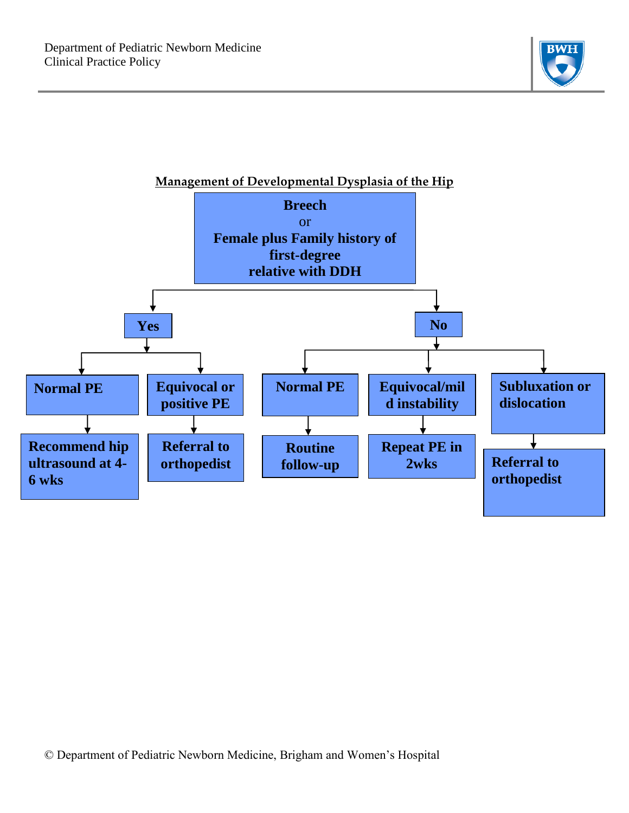